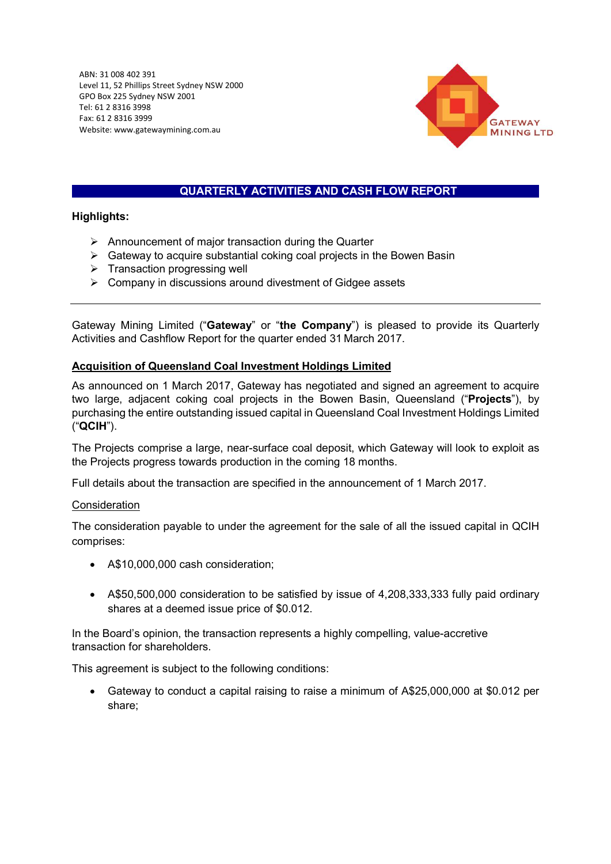$\mu$ dnev NSW 2000 $\mu$  $\mathcal{Q}$ ABN: 31 008 402 391 Level 11, 52 Phillips Street Sydney NSW 2000 GPO Box 225 Sydney NSW 2001 Tel: 61 2 8316 3998 Fax: 61 2 8316 3999 Website: www.gatewaymining.com.au



# QUARTERLY ACTIVITIES AND CASH FLOW REPORT

### Highlights:

- $\triangleright$  Announcement of major transaction during the Quarter
- $\triangleright$  Gateway to acquire substantial coking coal projects in the Bowen Basin
- $\triangleright$  Transaction progressing well
- $\triangleright$  Company in discussions around divestment of Gidgee assets

Gateway Mining Limited ("Gateway" or "the Company") is pleased to provide its Quarterly Activities and Cashflow Report for the quarter ended 31 March 2017.

### Acquisition of Queensland Coal Investment Holdings Limited

As announced on 1 March 2017, Gateway has negotiated and signed an agreement to acquire two large, adjacent coking coal projects in the Bowen Basin, Queensland ("Projects"), by purchasing the entire outstanding issued capital in Queensland Coal Investment Holdings Limited ("QCIH").

The Projects comprise a large, near-surface coal deposit, which Gateway will look to exploit as the Projects progress towards production in the coming 18 months.

Full details about the transaction are specified in the announcement of 1 March 2017.

#### Consideration

The consideration payable to under the agreement for the sale of all the issued capital in QCIH comprises:

- A\$10,000,000 cash consideration;
- A\$50,500,000 consideration to be satisfied by issue of 4,208,333,333 fully paid ordinary shares at a deemed issue price of \$0.012.

In the Board's opinion, the transaction represents a highly compelling, value-accretive transaction for shareholders.

This agreement is subject to the following conditions:

 Gateway to conduct a capital raising to raise a minimum of A\$25,000,000 at \$0.012 per share;